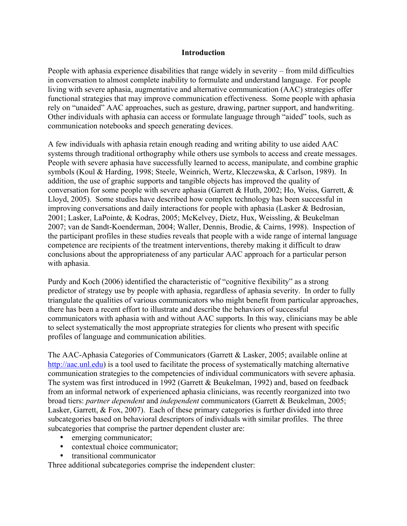#### **Introduction**

People with aphasia experience disabilities that range widely in severity – from mild difficulties in conversation to almost complete inability to formulate and understand language. For people living with severe aphasia, augmentative and alternative communication (AAC) strategies offer functional strategies that may improve communication effectiveness. Some people with aphasia rely on "unaided" AAC approaches, such as gesture, drawing, partner support, and handwriting. Other individuals with aphasia can access or formulate language through "aided" tools, such as communication notebooks and speech generating devices.

A few individuals with aphasia retain enough reading and writing ability to use aided AAC systems through traditional orthography while others use symbols to access and create messages. People with severe aphasia have successfully learned to access, manipulate, and combine graphic symbols (Koul & Harding, 1998; Steele, Weinrich, Wertz, Kleczewska, & Carlson, 1989). In addition, the use of graphic supports and tangible objects has improved the quality of conversation for some people with severe aphasia (Garrett & Huth, 2002; Ho, Weiss, Garrett,  $\&$ Lloyd, 2005). Some studies have described how complex technology has been successful in improving conversations and daily interactions for people with aphasia (Lasker & Bedrosian, 2001; Lasker, LaPointe, & Kodras, 2005; McKelvey, Dietz, Hux, Weissling, & Beukelman 2007; van de Sandt-Koenderman, 2004; Waller, Dennis, Brodie, & Cairns, 1998). Inspection of the participant profiles in these studies reveals that people with a wide range of internal language competence are recipients of the treatment interventions, thereby making it difficult to draw conclusions about the appropriateness of any particular AAC approach for a particular person with aphasia.

Purdy and Koch (2006) identified the characteristic of "cognitive flexibility" as a strong predictor of strategy use by people with aphasia, regardless of aphasia severity. In order to fully triangulate the qualities of various communicators who might benefit from particular approaches, there has been a recent effort to illustrate and describe the behaviors of successful communicators with aphasia with and without AAC supports. In this way, clinicians may be able to select systematically the most appropriate strategies for clients who present with specific profiles of language and communication abilities.

The AAC-Aphasia Categories of Communicators (Garrett & Lasker, 2005; available online at http://aac.unl.edu) is a tool used to facilitate the process of systematically matching alternative communication strategies to the competencies of individual communicators with severe aphasia. The system was first introduced in 1992 (Garrett & Beukelman, 1992) and, based on feedback from an informal network of experienced aphasia clinicians, was recently reorganized into two broad tiers: *partner dependent* and *independent* communicators (Garrett & Beukelman, 2005; Lasker, Garrett, & Fox, 2007). Each of these primary categories is further divided into three subcategories based on behavioral descriptors of individuals with similar profiles. The three subcategories that comprise the partner dependent cluster are:

- emerging communicator;
- contextual choice communicator:
- transitional communicator

Three additional subcategories comprise the independent cluster: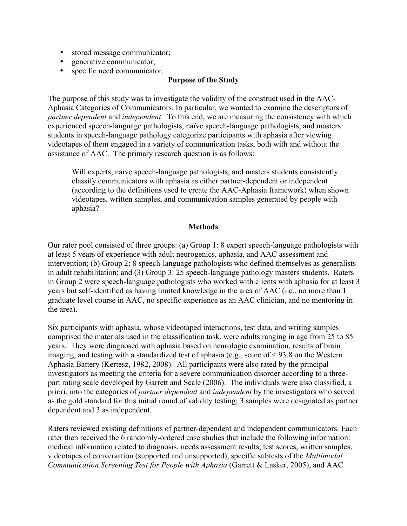- stored message communicator;
- generative communicator;
- specific need communicator.

### **Purpose of the Study**

The purpose of this study was to investigate the validity of the construct used in the AAC-Aphasia Categories of Communicators. In particular, we wanted to examine the descriptors of *partner dependent* and *independent*. To this end, we are measuring the consistency with which experienced speech-language pathologists, naïve speech-language pathologists, and masters students in speech-language pathology categorize participants with aphasia after viewing videotapes of them engaged in a variety of communication tasks, both with and without the assistance of AAC. The primary research question is as follows:

Will experts, naive speech-language pathologists, and masters students consistently classify communicators with aphasia as either partner-dependent or independent (according to the definitions used to create the AAC-Aphasia framework) when shown videotapes, written samples, and communication samples generated by people with aphasia?

#### **Methods**

Our rater pool consisted of three groups: (a) Group 1: 8 expert speech-language pathologists with at least 5 years of experience with adult neurogenics, aphasia, and AAC assessment and intervention; (b) Group 2: 8 speech-language pathologists who defined themselves as generalists in adult rehabilitation; and (3) Group 3: 25 speech-language pathology masters students. Raters in Group 2 were speech-language pathologists who worked with clients with aphasia for at least 3 years but self-identified as having limited knowledge in the area of AAC (i.e., no more than 1 graduate level course in AAC, no specific experience as an AAC clinician, and no mentoring in the area).

Six participants with aphasia, whose videotaped interactions, test data, and writing samples comprised the materials used in the classification task, were adults ranging in age from 25 to 85 years. They were diagnosed with aphasia based on neurologic examination, results of brain imaging, and testing with a standardized test of aphasia (e.g., score of < 93.8 on the Western Aphasia Battery (Kertesz, 1982, 2008). All participants were also rated by the principal investigators as meeting the criteria for a severe communication disorder according to a threepart rating scale developed by Garrett and Seale (2006). The individuals were also classified, a priori, into the categories of *partner dependent* and *independent* by the investigators who served as the gold standard for this initial round of validity testing; 3 samples were designated as partner dependent and 3 as independent.

Raters reviewed existing definitions of partner-dependent and independent communicators. Each rater then received the 6 randomly-ordered case studies that include the following information: medical information related to diagnosis, needs assessment results, test scores, written samples, videotapes of conversation (supported and unsupported), specific subtests of the *Multimodal Communication Screening Test for People with Aphasia* (Garrett & Lasker, 2005), and AAC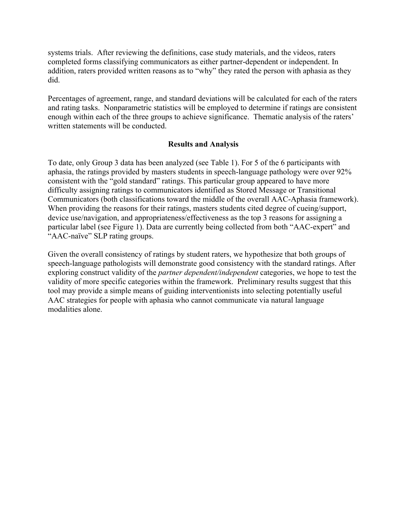systems trials. After reviewing the definitions, case study materials, and the videos, raters completed forms classifying communicators as either partner-dependent or independent. In addition, raters provided written reasons as to "why" they rated the person with aphasia as they did.

Percentages of agreement, range, and standard deviations will be calculated for each of the raters and rating tasks. Nonparametric statistics will be employed to determine if ratings are consistent enough within each of the three groups to achieve significance. Thematic analysis of the raters' written statements will be conducted.

#### **Results and Analysis**

To date, only Group 3 data has been analyzed (see Table 1). For 5 of the 6 participants with aphasia, the ratings provided by masters students in speech-language pathology were over 92% consistent with the "gold standard" ratings. This particular group appeared to have more difficulty assigning ratings to communicators identified as Stored Message or Transitional Communicators (both classifications toward the middle of the overall AAC-Aphasia framework). When providing the reasons for their ratings, masters students cited degree of cueing/support, device use/navigation, and appropriateness/effectiveness as the top 3 reasons for assigning a particular label (see Figure 1). Data are currently being collected from both "AAC-expert" and "AAC-naïve" SLP rating groups.

Given the overall consistency of ratings by student raters, we hypothesize that both groups of speech-language pathologists will demonstrate good consistency with the standard ratings. After exploring construct validity of the *partner dependent/independent* categories, we hope to test the validity of more specific categories within the framework. Preliminary results suggest that this tool may provide a simple means of guiding interventionists into selecting potentially useful AAC strategies for people with aphasia who cannot communicate via natural language modalities alone.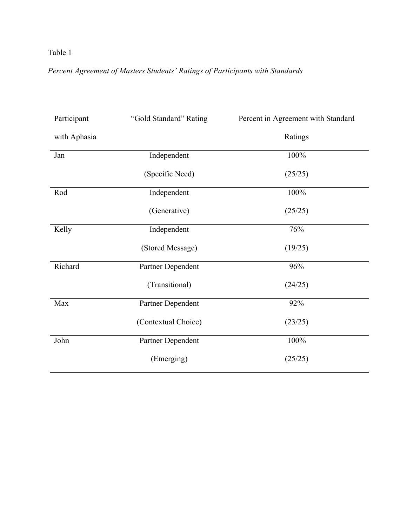# Table 1

# *Percent Agreement of Masters Students' Ratings of Participants with Standards*

| Participant  | "Gold Standard" Rating | Percent in Agreement with Standard |
|--------------|------------------------|------------------------------------|
| with Aphasia |                        | Ratings                            |
| Jan          | Independent            | 100%                               |
|              | (Specific Need)        | (25/25)                            |
| Rod          | Independent            | 100%                               |
|              | (Generative)           | (25/25)                            |
| Kelly        | Independent            | 76%                                |
|              | (Stored Message)       | (19/25)                            |
| Richard      | Partner Dependent      | 96%                                |
|              | (Transitional)         | (24/25)                            |
| Max          | Partner Dependent      | 92%                                |
|              | (Contextual Choice)    | (23/25)                            |
| John         | Partner Dependent      | 100%                               |
|              | (Emerging)             | (25/25)                            |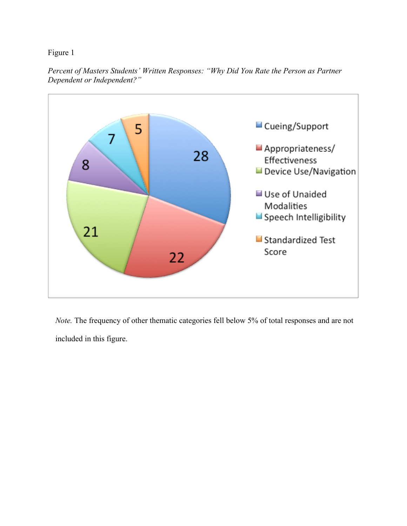Figure 1

*Percent of Masters Students' Written Responses: "Why Did You Rate the Person as Partner Dependent or Independent?"*



*Note.* The frequency of other thematic categories fell below 5% of total responses and are not included in this figure.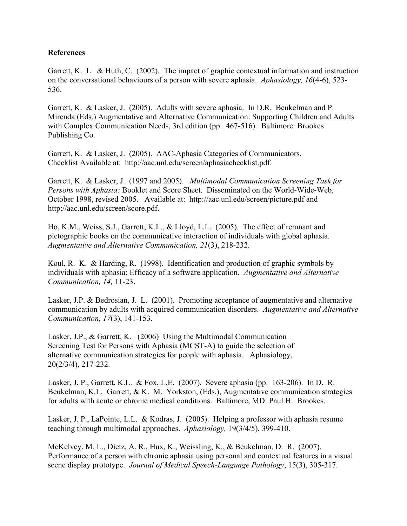## **References**

Garrett, K. L. & Huth, C. (2002). The impact of graphic contextual information and instruction on the conversational behaviours of a person with severe aphasia. *Aphasiology, 16*(4-6), 523- 536.

Garrett, K. & Lasker, J. (2005). Adults with severe aphasia. In D.R. Beukelman and P. Mirenda (Eds.) Augmentative and Alternative Communication: Supporting Children and Adults with Complex Communication Needs, 3rd edition (pp. 467-516). Baltimore: Brookes Publishing Co.

Garrett, K. & Lasker, J. (2005). AAC-Aphasia Categories of Communicators. Checklist Available at: http://aac.unl.edu/screen/aphasiachecklist.pdf.

Garrett, K. & Lasker, J. (1997 and 2005). *Multimodal Communication Screening Task for Persons with Aphasia:* Booklet and Score Sheet. Disseminated on the World-Wide-Web, October 1998, revised 2005. Available at: http://aac.unl.edu/screen/picture.pdf and http://aac.unl.edu/screen/score.pdf.

Ho, K.M., Weiss, S.J., Garrett, K.L., & Lloyd, L.L. (2005). The effect of remnant and pictographic books on the communicative interaction of individuals with global aphasia. *Augmentative and Alternative Communication, 21*(3), 218-232.

Koul, R. K. & Harding, R. (1998). Identification and production of graphic symbols by individuals with aphasia: Efficacy of a software application. *Augmentative and Alternative Communication, 14,* 11-23.

Lasker, J.P. & Bedrosian, J. L. (2001). Promoting acceptance of augmentative and alternative communication by adults with acquired communication disorders. *Augmentative and Alternative Communication, 17*(3), 141-153.

Lasker, J.P., & Garrett, K. (2006) Using the Multimodal Communication Screening Test for Persons with Aphasia (MCST-A) to guide the selection of alternative communication strategies for people with aphasia. Aphasiology, 20(2/3/4), 217-232.

Lasker, J. P., Garrett, K.L. & Fox, L.E. (2007). Severe aphasia (pp. 163-206). In D. R. Beukelman, K.L. Garrett, & K. M. Yorkston, (Eds.), Augmentative communication strategies for adults with acute or chronic medical conditions. Baltimore, MD: Paul H. Brookes.

Lasker, J. P., LaPointe, L.L. & Kodras, J. (2005). Helping a professor with aphasia resume teaching through multimodal approaches. *Aphasiology,* 19(3/4/5), 399-410.

McKelvey, M. L., Dietz, A. R., Hux, K., Weissling, K., & Beukelman, D. R. (2007). Performance of a person with chronic aphasia using personal and contextual features in a visual scene display prototype. *Journal of Medical Speech-Language Pathology*, 15(3), 305-317.